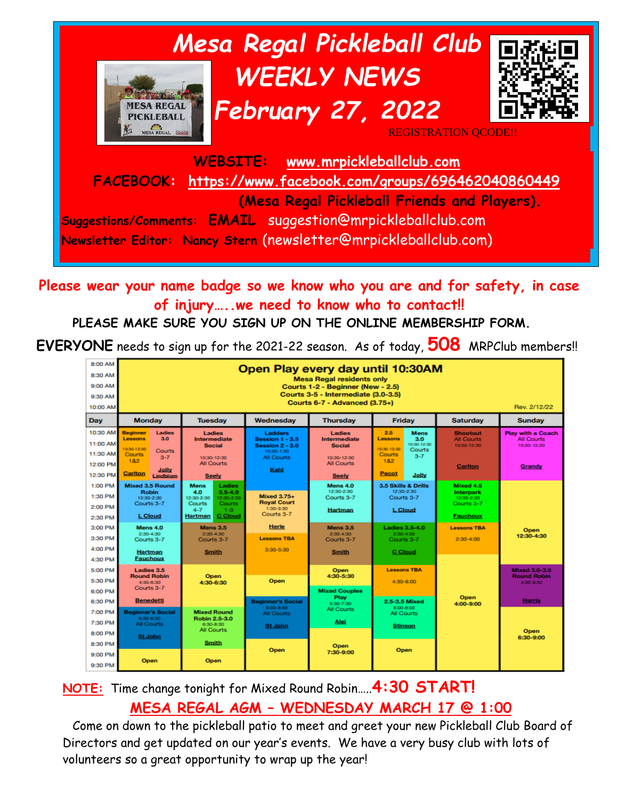

**Please wear your name badge so we know who you are and for safety, in case of injury…..we need to know who to contact!!**

#### **PLEASE MAKE SURE YOU SIGN UP ON THE ONLINE MEMBERSHIP FORM.**

**EVERYONE** needs to sign up for the 2021-22 season. As of today, **508** MRPClub members!!

| 8:00 AM<br>8:30 AM<br>9:00 AM<br>9:30 AM<br>10:00 AM     | Open Play every day until 10:30AM<br><b>Mesa Regal residents only</b><br>Courts 1-2 - Beginner (New - 2.5)<br>Courts 3-5 - Intermediate (3.0-3.5)<br><b>Courts 6-7 - Advanced (3.75+)</b><br>Rev. 2/12/22 |                                                                                                                                        |                                                                                                 |                                                                                                    |                                                                                                                                                 |                                                                       |                                                                          |
|----------------------------------------------------------|-----------------------------------------------------------------------------------------------------------------------------------------------------------------------------------------------------------|----------------------------------------------------------------------------------------------------------------------------------------|-------------------------------------------------------------------------------------------------|----------------------------------------------------------------------------------------------------|-------------------------------------------------------------------------------------------------------------------------------------------------|-----------------------------------------------------------------------|--------------------------------------------------------------------------|
| Day                                                      | <b>Monday</b>                                                                                                                                                                                             | <b>Tuesdav</b>                                                                                                                         | Wednesday                                                                                       | <b>Thursday</b>                                                                                    | Friday                                                                                                                                          | <b>Saturday</b>                                                       | <b>Sunday</b>                                                            |
| 10:30 AM<br>11:00 AM<br>11:30 AM<br>12:00 PM<br>12:30 PM | <b>Beginner</b><br>Ladies<br><b>Lessons</b><br>3.0<br>0:30-12:30<br>Courts<br><b>Courts</b><br>$3 - 7$<br>182<br>Jolly<br><b>Carlton</b><br>Lindblom                                                      | Ladies<br><b>Intermediate</b><br><b>Social</b><br>10:30-12:30<br><b>All Courts</b><br><b>Seely</b>                                     | <b>Ladders</b><br><b>Session 1 - 3.5</b><br>Session 2 - 3.0<br>10:30-1:30<br>All Courts<br>Kehl | <b>Ladies</b><br>Intermediate<br><b>Social</b><br>10:30-12:30<br><b>All Courts</b><br><b>Seely</b> | 2.5<br><b>Mens</b><br>3.0<br><b>Lessons</b><br>10:30-12:30<br>10:30-12:30<br>Courts<br><b>Courts</b><br>$3 - 7$<br>182<br><b>Pecot</b><br>Jolly | <b>Shootout</b><br><b>All Courts</b><br>10:30-12:30<br><b>Carlton</b> | <b>Play with a Coach</b><br><b>All Courts</b><br>10:30-12:30<br>Grandy   |
| 1:00 PM<br>1:30 PM<br>2:00 PM<br>2:30 PM                 | <b>Mixed 3.5 Round</b><br><b>Robin</b><br>12:30-2:30<br>Courts 3-7<br><b>L</b> Cloud                                                                                                                      | Ladies<br>Mens<br>4.0<br>$3.5 - 4.0$<br>12:30-2:30<br>12:30-2:30<br>Courts<br>Courts<br>$4 - 7$<br>$-1-3$<br><b>C</b> Cloud<br>Hartman | <b>Mixed 3.75+</b><br><b>Royal Court</b><br>1:30-3:30<br>Courts 3-7                             | Mens 4.0<br>12:30-2:30<br>Courts 3-7<br>Hartman                                                    | 3.5 Skills & Drills<br>12:30-2:30<br>Courts 3-7<br><b>L</b> Cloud                                                                               | Mixed 4.5<br>Interpark<br>12:30-2:30<br>Courts 3-7<br><b>Fauchoux</b> |                                                                          |
| 3:00 PM<br>3:30 PM<br>4:00 PM<br>4:30 PM                 | Mens 4.0<br>2:30-4:30<br>Courts 3-7<br>Hartman<br><b>Fauchoux</b>                                                                                                                                         | <b>Mens 3.5</b><br>$2:30-4:30$<br>Courts 3-7<br><b>Smith</b>                                                                           | <b>Herle</b><br><b>Lessons TRA</b><br>$3:30 - 5:30$                                             | <b>Mens 3.5</b><br>$2:30-4:30$<br>Courts 3-7<br><b>Smith</b>                                       | <b>Ladies 3.5-4.0</b><br>2:30:4:30<br>Courts 3-7<br><b>C</b> Cloud                                                                              | <b>Lessons TBA</b><br>$2:30 - 4:00$                                   | Open<br>12:30-4:30                                                       |
| 5:00 PM<br>5:30 PM<br>6:00 PM<br>6:30 PM                 | Ladies 3.5<br><b>Round Robin</b><br>4:30-6:30<br>Courts 3-7<br><b>Benedetti</b>                                                                                                                           | <b>Open</b><br>4:30-6:30                                                                                                               | Open<br><b>Beginner's Social</b>                                                                | <b>Open</b><br>4:30-5:30<br><b>Mixed Couples</b><br>Play<br>5:30-7:30                              | <b>Lessons TBA</b><br>4:30-6:00<br>2.5-3.5 Mixed                                                                                                | Open                                                                  | <b>Mixed 3.0-3.5</b><br><b>Round Robin</b><br>4:30-6:30<br><b>Harris</b> |
| 7:00 PM<br>7:30 PM<br>8:00 PM                            | <b>Beginner's Social</b><br>6:30-8:30<br><b>All Courts</b><br><b>St John</b>                                                                                                                              | <b>Mixed Round</b><br><b>Robin 2.5-3.0</b><br>6:30-8:30<br>All Courts                                                                  | 6:00-8:00<br>All Courts<br><b>St John</b>                                                       | <b>All Courts</b><br>Alei                                                                          | 6:00-8:00<br>All Courts<br><b>Stinson</b>                                                                                                       | 4:00-9:00                                                             | Open<br>6:30-9:00                                                        |
| 8:30 PM<br>9:00 PM<br>9:30 PM                            | <b>Open</b>                                                                                                                                                                                               | Smith<br>Open                                                                                                                          | Open                                                                                            | Open<br>7:30-9:00                                                                                  | Open                                                                                                                                            |                                                                       |                                                                          |

#### **NOTE:** Time change tonight for Mixed Round Robin…..**4:30 START! MESA REGAL AGM – WEDNESDAY MARCH 17 @ 1:00**

Come on down to the pickleball patio to meet and greet your new Pickleball Club Board of Directors and get updated on our year's events. We have a very busy club with lots of volunteers so a great opportunity to wrap up the year!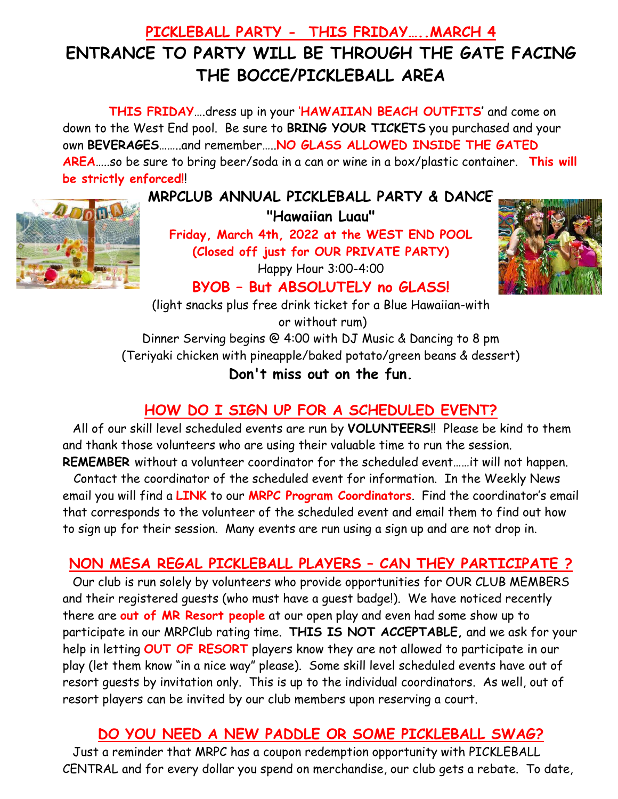# **PICKLEBALL PARTY - THIS FRIDAY…..MARCH 4 ENTRANCE TO PARTY WILL BE THROUGH THE GATE FACING THE BOCCE/PICKLEBALL AREA**

**THIS FRIDAY**….dress up in your '**HAWAIIAN BEACH OUTFITS'** and come on down to the West End pool. Be sure to **BRING YOUR TICKETS** you purchased and your own **BEVERAGES**……..and remember…..**NO GLASS ALLOWED INSIDE THE GATED AREA**…..so be sure to bring beer/soda in a can or wine in a box/plastic container. **This will be strictly enforced!**!



**MRPCLUB ANNUAL PICKLEBALL PARTY & DANCE "Hawaiian Luau"**

**Friday, March 4th, 2022 at the WEST END POOL (Closed off just for OUR PRIVATE PARTY)**





**BYOB – But ABSOLUTELY no GLASS!**

(light snacks plus free drink ticket for a Blue Hawaiian-with or without rum) Dinner Serving begins @ 4:00 with DJ Music & Dancing to 8 pm (Teriyaki chicken with pineapple/baked potato/green beans & dessert)

**Don't miss out on the fun.** 

# **HOW DO I SIGN UP FOR A SCHEDULED EVENT?**

All of our skill level scheduled events are run by **VOLUNTEERS**!! Please be kind to them and thank those volunteers who are using their valuable time to run the session. **REMEMBER** without a volunteer coordinator for the scheduled event……it will not happen.

 Contact the coordinator of the scheduled event for information. In the Weekly News email you will find a **LINK** to our **MRPC Program Coordinators**. Find the coordinator's email that corresponds to the volunteer of the scheduled event and email them to find out how to sign up for their session. Many events are run using a sign up and are not drop in.

#### **NON MESA REGAL PICKLEBALL PLAYERS – CAN THEY PARTICIPATE ?**

Our club is run solely by volunteers who provide opportunities for OUR CLUB MEMBERS and their registered guests (who must have a guest badge!). We have noticed recently there are **out of MR Resort people** at our open play and even had some show up to participate in our MRPClub rating time. **THIS IS NOT ACCEPTABLE,** and we ask for your help in letting **OUT OF RESORT** players know they are not allowed to participate in our play (let them know "in a nice way" please). Some skill level scheduled events have out of resort guests by invitation only. This is up to the individual coordinators. As well, out of resort players can be invited by our club members upon reserving a court.

## **DO YOU NEED A NEW PADDLE OR SOME PICKLEBALL SWAG?**

Just a reminder that MRPC has a coupon redemption opportunity with PICKLEBALL CENTRAL and for every dollar you spend on merchandise, our club gets a rebate. To date,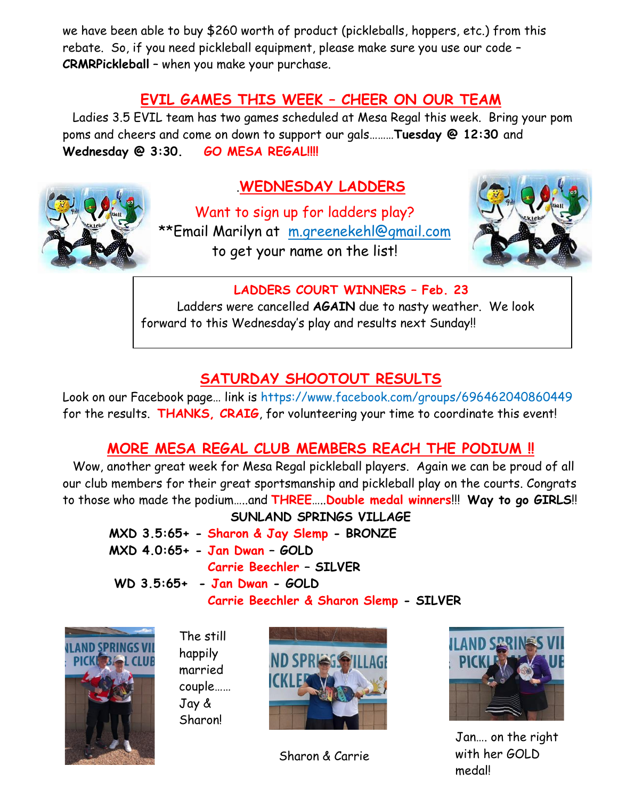we have been able to buy \$260 worth of product (pickleballs, hoppers, etc.) from this rebate. So, if you need pickleball equipment, please make sure you use our code – **CRMRPickleball** – when you make your purchase.

#### **EVIL GAMES THIS WEEK – CHEER ON OUR TEAM**

Ladies 3.5 EVIL team has two games scheduled at Mesa Regal this week. Bring your pom poms and cheers and come on down to support our gals………**Tuesday @ 12:30** and Wednesday @ 3:30. **GO MESA REGAL!!!!** 



### .**WEDNESDAY LADDERS**

Want to sign up for ladders play? \*\*Email Marilyn at [m.greenekehl@gmail.com](mailto:m.greenekehl@gmail.com) to get your name on the list!



#### **LADDERS COURT WINNERS – Feb. 23**

Ladders were cancelled **AGAIN** due to nasty weather. We look forward to this Wednesday's play and results next Sunday!!

#### **SATURDAY SHOOTOUT RESULTS**

Look on our Facebook page… link is https://www.facebook.com/groups/696462040860449 for the results. **THANKS, CRAIG**, for volunteering your time to coordinate this event!

#### **MORE MESA REGAL CLUB MEMBERS REACH THE PODIUM !!**

Wow, another great week for Mesa Regal pickleball players. Again we can be proud of all our club members for their great sportsmanship and pickleball play on the courts. Congrats to those who made the podium…..and **THREE**…..**Double medal winners**!!! **Way to go GIRLS**!!

**SUNLAND SPRINGS VILLAGE MXD 3.5:65+ - Sharon & Jay Slemp - BRONZE MXD 4.0:65+ - Jan Dwan – GOLD Carrie Beechler – SILVER**

**WD 3.5:65+ - Jan Dwan - GOLD Carrie Beechler & Sharon Slemp - SILVER**



The still happily married couple…… Jay & Sharon!



Sharon & Carrie



Jan…. on the right with her GOLD medal!